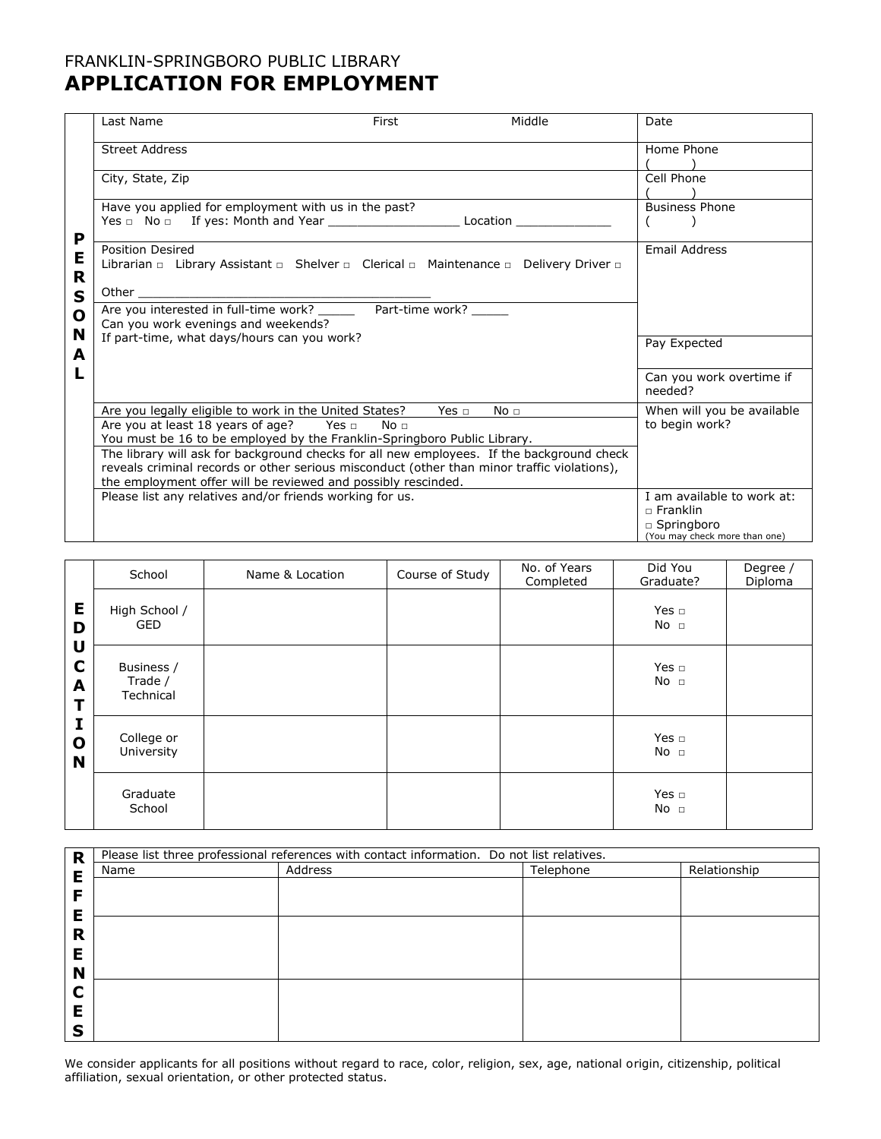### FRANKLIN-SPRINGBORO PUBLIC LIBRARY **APPLICATION FOR EMPLOYMENT**

|                   | Last Name                                                                                                                                                                                | First | Middle          | Date                                          |
|-------------------|------------------------------------------------------------------------------------------------------------------------------------------------------------------------------------------|-------|-----------------|-----------------------------------------------|
|                   | <b>Street Address</b>                                                                                                                                                                    |       |                 | Home Phone                                    |
|                   | City, State, Zip                                                                                                                                                                         |       |                 | Cell Phone                                    |
| P                 | Have you applied for employment with us in the past?                                                                                                                                     |       |                 | <b>Business Phone</b>                         |
| Е<br>R            | Position Desired<br>Librarian □ Library Assistant □ Shelver □ Clerical □ Maintenance □ Delivery Driver □                                                                                 |       |                 | Email Address                                 |
| S<br>$\mathbf{o}$ |                                                                                                                                                                                          |       |                 |                                               |
| N                 | Can you work evenings and weekends?                                                                                                                                                      |       |                 |                                               |
| A                 | If part-time, what days/hours can you work?                                                                                                                                              |       |                 | Pay Expected                                  |
|                   |                                                                                                                                                                                          |       |                 | Can you work overtime if<br>needed?           |
|                   | Are you legally eligible to work in the United States? Yes $\Box$                                                                                                                        |       | No <sub>1</sub> | When will you be available                    |
|                   | Are you at least 18 years of age? Yes n No n<br>You must be 16 to be employed by the Franklin-Springboro Public Library.                                                                 |       |                 | to begin work?                                |
|                   | The library will ask for background checks for all new employees. If the background check<br>reveals criminal records or other serious misconduct (other than minor traffic violations), |       |                 |                                               |
|                   | the employment offer will be reviewed and possibly rescinded.                                                                                                                            |       |                 |                                               |
|                   | Please list any relatives and/or friends working for us.                                                                                                                                 |       |                 | I am available to work at:<br>$\Box$ Franklin |
|                   |                                                                                                                                                                                          |       |                 | $\Box$ Springboro                             |
|                   |                                                                                                                                                                                          |       |                 | (You may check more than one)                 |

|                        | School                             | Name & Location | Course of Study | No. of Years<br>Completed | Did You<br>Graduate?          | Degree /<br>Diploma |
|------------------------|------------------------------------|-----------------|-----------------|---------------------------|-------------------------------|---------------------|
| Е<br>D                 | High School /<br><b>GED</b>        |                 |                 |                           | Yes $\Box$<br>No <sub>1</sub> |                     |
| U<br>C<br>A<br>т       | Business /<br>Trade /<br>Technical |                 |                 |                           | Yes $\Box$<br>No <sub>1</sub> |                     |
| I<br>$\mathbf{o}$<br>N | College or<br>University           |                 |                 |                           | Yes $\Box$<br>No <sub>1</sub> |                     |
|                        | Graduate<br>School                 |                 |                 |                           | Yes $\Box$<br>No <sub>1</sub> |                     |

| R | Please list three professional references with contact information. Do not list relatives. |         |           |              |
|---|--------------------------------------------------------------------------------------------|---------|-----------|--------------|
| E | Name                                                                                       | Address | Telephone | Relationship |
|   |                                                                                            |         |           |              |
|   |                                                                                            |         |           |              |
| Ε |                                                                                            |         |           |              |
| R |                                                                                            |         |           |              |
|   |                                                                                            |         |           |              |
| Е |                                                                                            |         |           |              |
| N |                                                                                            |         |           |              |
|   |                                                                                            |         |           |              |
|   |                                                                                            |         |           |              |
|   |                                                                                            |         |           |              |
| с |                                                                                            |         |           |              |

We consider applicants for all positions without regard to race, color, religion, sex, age, national origin, citizenship, political affiliation, sexual orientation, or other protected status.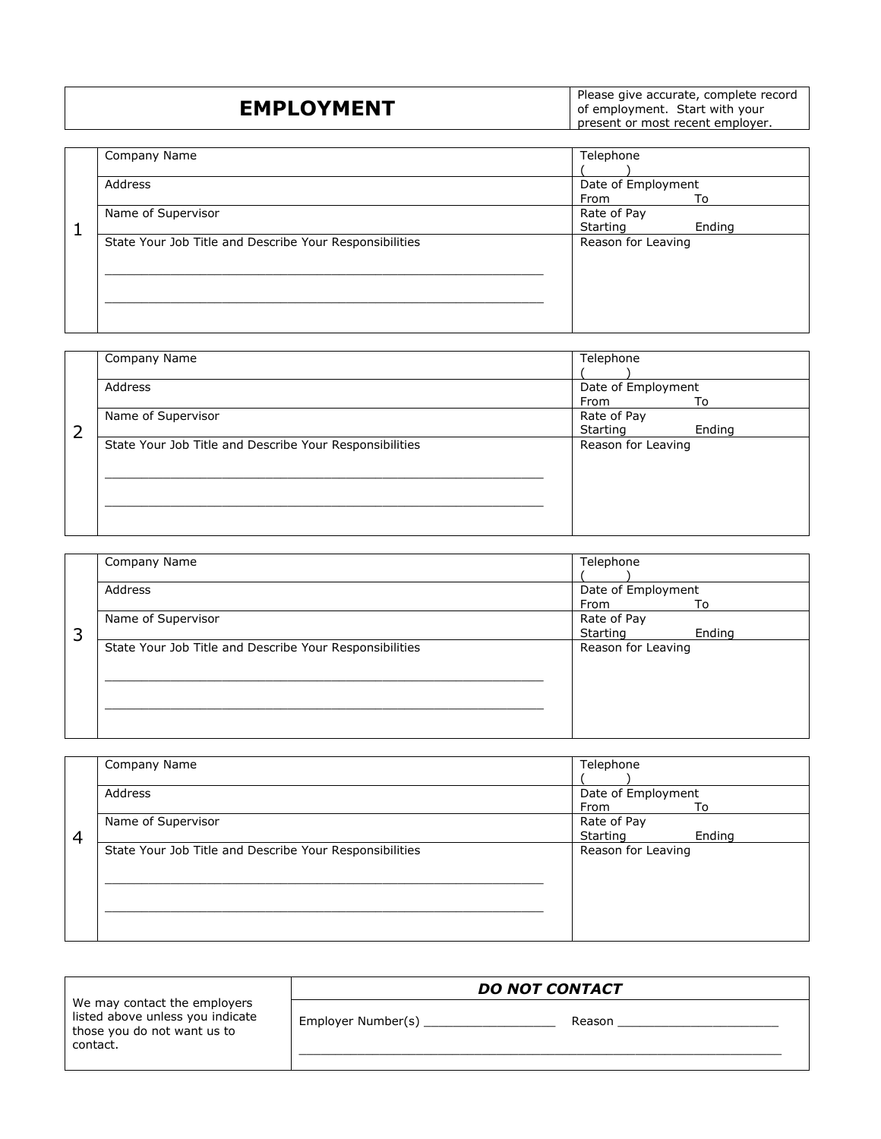## **EMPLOYMENT**

Please give accurate, complete record of employment. Start with your present or most recent employer.

|   | Company Name                                            | Telephone          |        |
|---|---------------------------------------------------------|--------------------|--------|
|   | Address                                                 | Date of Employment |        |
|   |                                                         | From               | To     |
|   | Name of Supervisor                                      | Rate of Pay        |        |
| 1 |                                                         | Starting           | Ending |
|   | State Your Job Title and Describe Your Responsibilities | Reason for Leaving |        |
|   |                                                         |                    |        |
|   |                                                         |                    |        |
|   |                                                         |                    |        |
|   |                                                         |                    |        |
|   |                                                         |                    |        |
|   |                                                         |                    |        |

| Company Name                                            | Telephone          |                     |
|---------------------------------------------------------|--------------------|---------------------|
| Address                                                 | Date of Employment |                     |
|                                                         |                    | To                  |
|                                                         | Starting           | Ending              |
| State Your Job Title and Describe Your Responsibilities | Reason for Leaving |                     |
|                                                         |                    |                     |
|                                                         |                    |                     |
|                                                         |                    |                     |
|                                                         |                    |                     |
|                                                         | Name of Supervisor | From<br>Rate of Pay |

|   | Company Name                                            | Telephone          |        |
|---|---------------------------------------------------------|--------------------|--------|
|   | Address                                                 | Date of Employment |        |
|   |                                                         | From               | To     |
|   | Name of Supervisor                                      | Rate of Pay        |        |
| 3 |                                                         | Starting           | Ending |
|   | State Your Job Title and Describe Your Responsibilities | Reason for Leaving |        |
|   |                                                         |                    |        |

|   | Company Name                                            | Telephone                         |
|---|---------------------------------------------------------|-----------------------------------|
|   | Address                                                 | Date of Employment<br>From<br>To  |
| 4 | Name of Supervisor                                      | Rate of Pay<br>Starting<br>Ending |
|   | State Your Job Title and Describe Your Responsibilities | Reason for Leaving                |

|                                                                                                             |                    | <b>DO NOT CONTACT</b> |  |
|-------------------------------------------------------------------------------------------------------------|--------------------|-----------------------|--|
| We may contact the employers<br>listed above unless you indicate<br>those you do not want us to<br>contact. | Employer Number(s) | Reason                |  |
|                                                                                                             |                    |                       |  |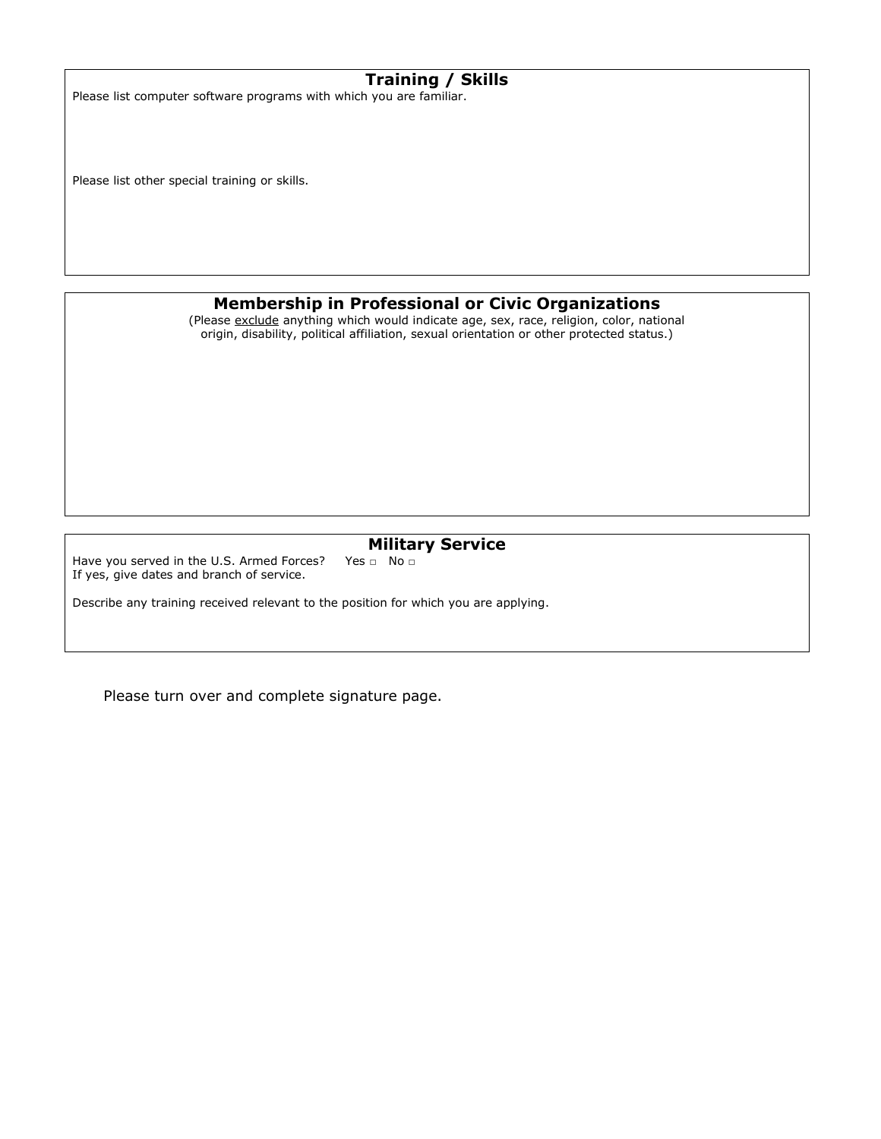|  |  |  |  |  | Training / Skills |
|--|--|--|--|--|-------------------|
|--|--|--|--|--|-------------------|

Please list computer software programs with which you are familiar.

Please list other special training or skills.

#### **Membership in Professional or Civic Organizations**

(Please exclude anything which would indicate age, sex, race, religion, color, national origin, disability, political affiliation, sexual orientation or other protected status.)

# **Military Service**<br>Yes  $\Box$  No  $\Box$

Have you served in the U.S. Armed Forces? If yes, give dates and branch of service.

Describe any training received relevant to the position for which you are applying.

Please turn over and complete signature page.